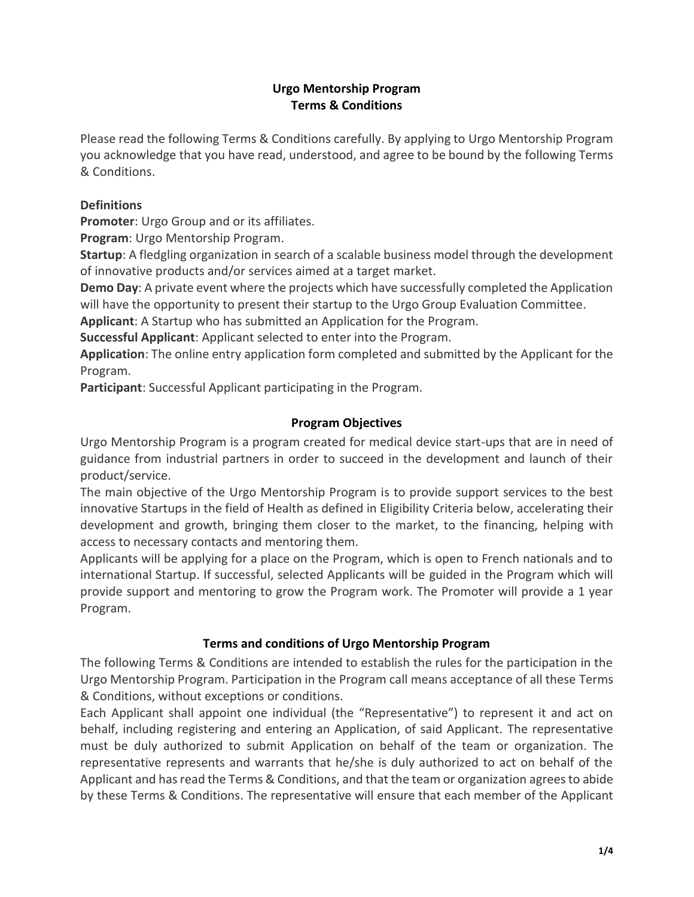# **Urgo Mentorship Program Terms & Conditions**

Please read the following Terms & Conditions carefully. By applying to Urgo Mentorship Program you acknowledge that you have read, understood, and agree to be bound by the following Terms & Conditions.

# **Definitions**

**Promoter**: Urgo Group and or its affiliates.

**Program**: Urgo Mentorship Program.

**Startup**: A fledgling organization in search of a scalable business model through the development of innovative products and/or services aimed at a target market.

**Demo Day**: A private event where the projects which have successfully completed the Application will have the opportunity to present their startup to the Urgo Group Evaluation Committee.

**Applicant**: A Startup who has submitted an Application for the Program.

**Successful Applicant**: Applicant selected to enter into the Program.

**Application**: The online entry application form completed and submitted by the Applicant for the Program.

**Participant**: Successful Applicant participating in the Program.

# **Program Objectives**

Urgo Mentorship Program is a program created for medical device start-ups that are in need of guidance from industrial partners in order to succeed in the development and launch of their product/service.

The main objective of the Urgo Mentorship Program is to provide support services to the best innovative Startups in the field of Health as defined in Eligibility Criteria below, accelerating their development and growth, bringing them closer to the market, to the financing, helping with access to necessary contacts and mentoring them.

Applicants will be applying for a place on the Program, which is open to French nationals and to international Startup. If successful, selected Applicants will be guided in the Program which will provide support and mentoring to grow the Program work. The Promoter will provide a 1 year Program.

# **Terms and conditions of Urgo Mentorship Program**

The following Terms & Conditions are intended to establish the rules for the participation in the Urgo Mentorship Program. Participation in the Program call means acceptance of all these Terms & Conditions, without exceptions or conditions.

Each Applicant shall appoint one individual (the "Representative") to represent it and act on behalf, including registering and entering an Application, of said Applicant. The representative must be duly authorized to submit Application on behalf of the team or organization. The representative represents and warrants that he/she is duly authorized to act on behalf of the Applicant and has read the Terms & Conditions, and that the team or organization agrees to abide by these Terms & Conditions. The representative will ensure that each member of the Applicant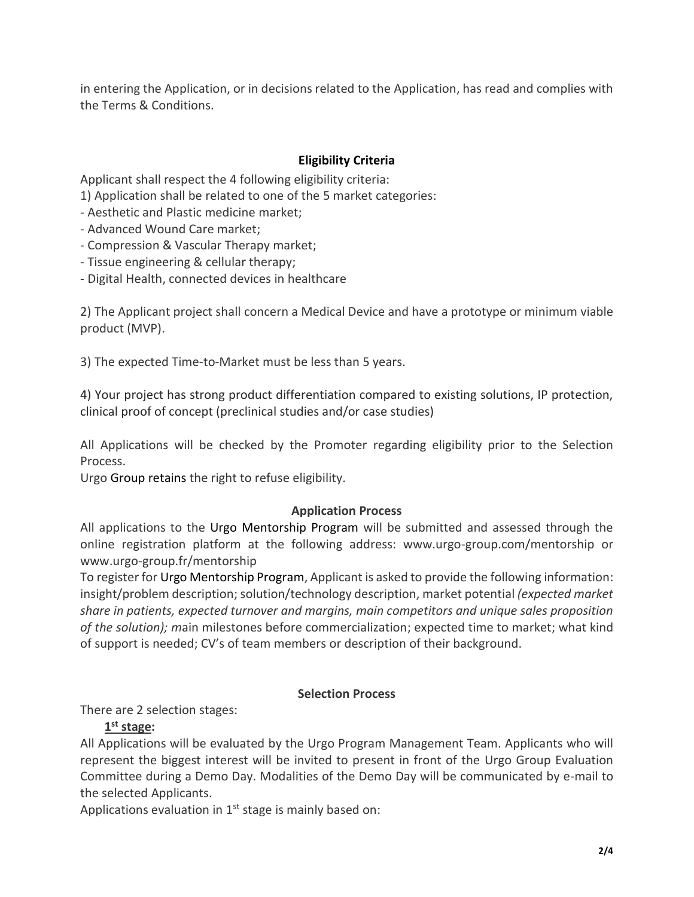in entering the Application, or in decisions related to the Application, has read and complies with the Terms & Conditions.

# **Eligibility Criteria**

Applicant shall respect the 4 following eligibility criteria:

1) Application shall be related to one of the 5 market categories:

- Aesthetic and Plastic medicine market;
- Advanced Wound Care market;
- Compression & Vascular Therapy market;
- Tissue engineering & cellular therapy;
- Digital Health, connected devices in healthcare

2) The Applicant project shall concern a Medical Device and have a prototype or minimum viable product (MVP).

3) The expected Time-to-Market must be less than 5 years.

4) Your project has strong product differentiation compared to existing solutions, IP protection, clinical proof of concept (preclinical studies and/or case studies)

All Applications will be checked by the Promoter regarding eligibility prior to the Selection Process.

Urgo Group retains the right to refuse eligibility.

## **Application Process**

All applications to the Urgo Mentorship Program will be submitted and assessed through the online registration platform at the following address: www[.urgo-group.com/](http://urgo-group.com/)mentorship or www[.urgo-group.fr/](http://urgo-group.fr/)mentorship

To register for Urgo Mentorship Program, Applicant is asked to provide the following information: insight/problem description; solution/technology description, market potential *(expected market share in patients, expected turnover and margins, main competitors and unique sales proposition of the solution); m*ain milestones before commercialization; expected time to market; what kind of support is needed; CV's of team members or description of their background.

## **Selection Process**

There are 2 selection stages:

## **1 st stage:**

All Applications will be evaluated by the Urgo Program Management Team. Applicants who will represent the biggest interest will be invited to present in front of the Urgo Group Evaluation Committee during a Demo Day. Modalities of the Demo Day will be communicated by e-mail to the selected Applicants.

Applications evaluation in  $1<sup>st</sup>$  stage is mainly based on: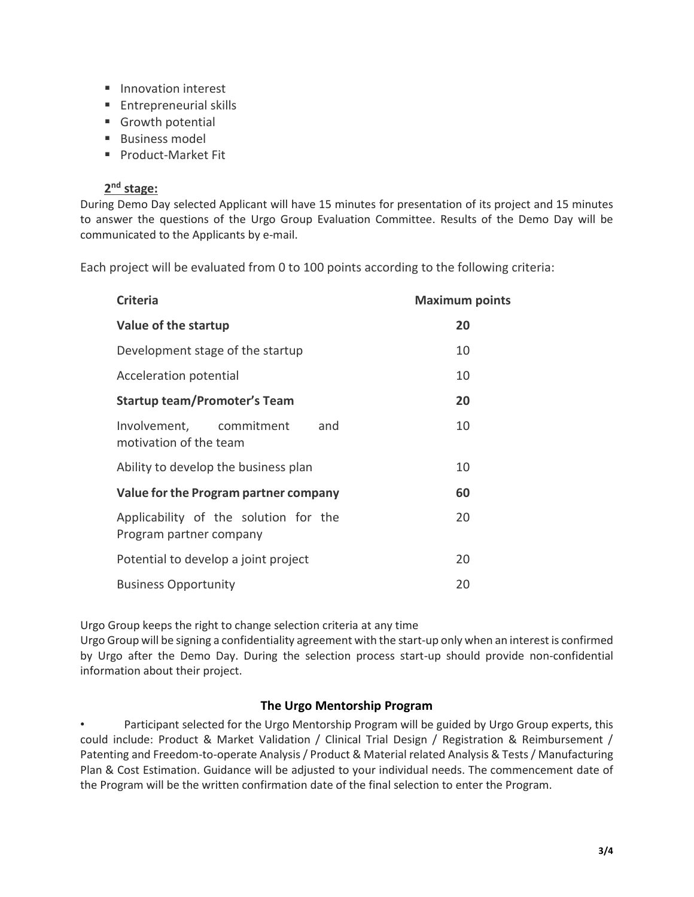- Innovation interest
- Entrepreneurial skills
- Growth potential
- Business model
- Product-Market Fit

## **2 nd stage:**

During Demo Day selected Applicant will have 15 minutes for presentation of its project and 15 minutes to answer the questions of the Urgo Group Evaluation Committee. Results of the Demo Day will be communicated to the Applicants by e-mail.

Each project will be evaluated from 0 to 100 points according to the following criteria:

| <b>Criteria</b>                                                  | <b>Maximum points</b> |
|------------------------------------------------------------------|-----------------------|
| Value of the startup                                             | 20                    |
| Development stage of the startup                                 | 10                    |
| Acceleration potential                                           | 10                    |
| <b>Startup team/Promoter's Team</b>                              | 20                    |
| Involvement, commitment<br>and<br>motivation of the team         | 10                    |
| Ability to develop the business plan                             | 10                    |
| Value for the Program partner company                            | 60                    |
| Applicability of the solution for the<br>Program partner company | 20                    |
| Potential to develop a joint project                             | 20                    |
| <b>Business Opportunity</b>                                      | 20                    |

Urgo Group keeps the right to change selection criteria at any time

Urgo Group will be signing a confidentiality agreement with the start-up only when an interest is confirmed by Urgo after the Demo Day. During the selection process start-up should provide non-confidential information about their project.

## **The Urgo Mentorship Program**

• Participant selected for the Urgo Mentorship Program will be guided by Urgo Group experts, this could include: Product & Market Validation / Clinical Trial Design / Registration & Reimbursement / Patenting and Freedom-to-operate Analysis / Product & Material related Analysis & Tests / Manufacturing Plan & Cost Estimation. Guidance will be adjusted to your individual needs. The commencement date of the Program will be the written confirmation date of the final selection to enter the Program.